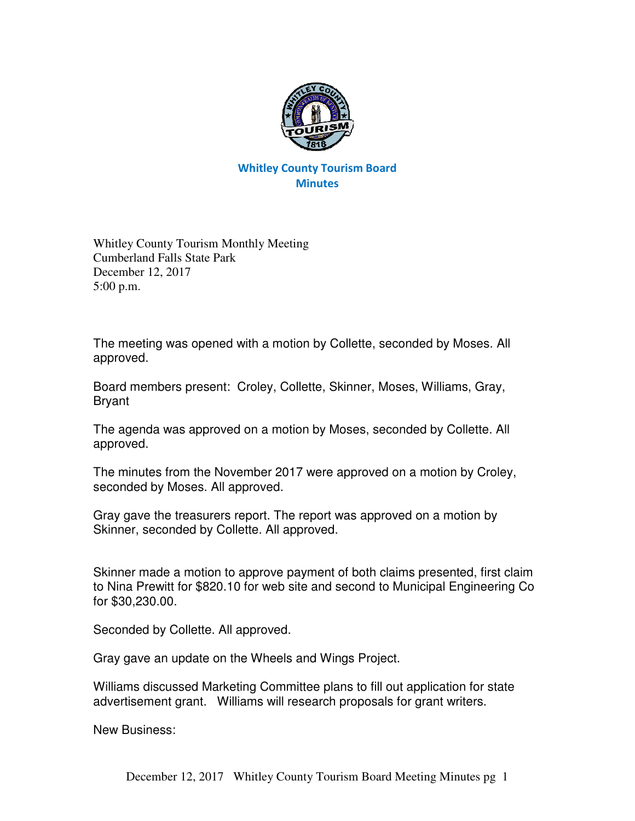

## Whitley County Tourism Board **Minutes**

Whitley County Tourism Monthly Meeting Cumberland Falls State Park December 12, 2017 5:00 p.m.

The meeting was opened with a motion by Collette, seconded by Moses. All approved.

Board members present: Croley, Collette, Skinner, Moses, Williams, Gray, Bryant

The agenda was approved on a motion by Moses, seconded by Collette. All approved.

The minutes from the November 2017 were approved on a motion by Croley, seconded by Moses. All approved.

Gray gave the treasurers report. The report was approved on a motion by Skinner, seconded by Collette. All approved.

Skinner made a motion to approve payment of both claims presented, first claim to Nina Prewitt for \$820.10 for web site and second to Municipal Engineering Co for \$30,230.00.

Seconded by Collette. All approved.

Gray gave an update on the Wheels and Wings Project.

Williams discussed Marketing Committee plans to fill out application for state advertisement grant. Williams will research proposals for grant writers.

New Business: